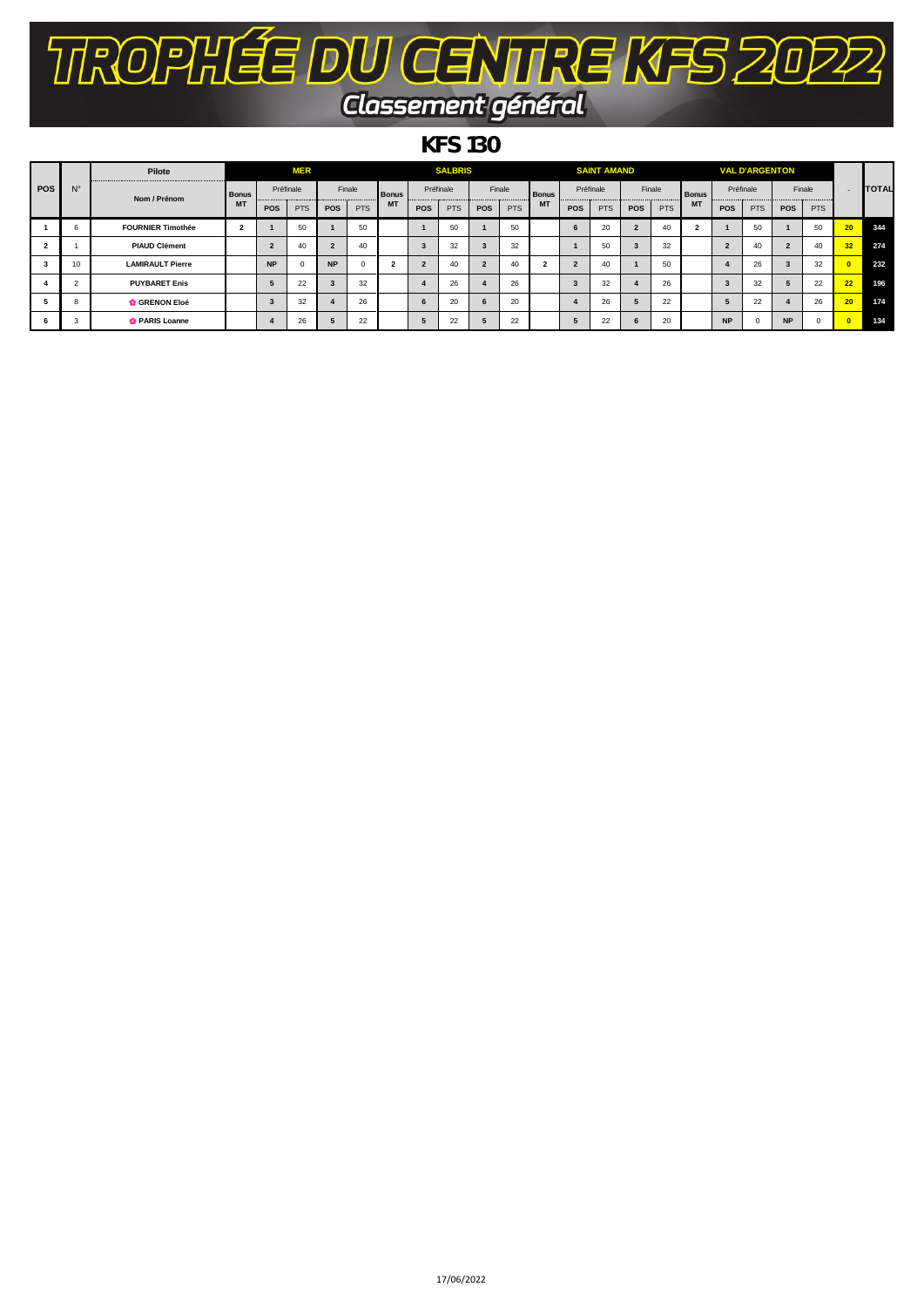## TROPHÉE DU CENTRE KFS 2022 Classement général

## *KFS 130*

| <b>POS</b> |             | Pilote                   |                           |           | <b>MER</b> |                         | <b>SALBRIS</b> |              |                |            |                |                        |                |           | <b>SAINT AMAND</b> |                |            |              |                         | <b>VAL D'ARGENTON</b> |            |            |                          |              |
|------------|-------------|--------------------------|---------------------------|-----------|------------|-------------------------|----------------|--------------|----------------|------------|----------------|------------------------|----------------|-----------|--------------------|----------------|------------|--------------|-------------------------|-----------------------|------------|------------|--------------------------|--------------|
|            | $N^{\circ}$ | Nom / Prénom             | <b>Bonus</b><br><b>MT</b> | Préfinale |            | Finale                  |                | <b>Bonus</b> | Préfinale      |            |                | Finale<br><b>Bonus</b> |                | Préfinale |                    | Finale         |            | <b>Bonus</b> | Préfinale               |                       | Finale     |            | $\overline{\phantom{0}}$ | <b>TOTAL</b> |
|            |             |                          |                           | POS       | <b>PTS</b> | POS                     | <b>PTS</b>     | <b>MT</b>    | <b>POS</b>     | <b>PTS</b> | <b>POS</b>     | <b>PTS</b>             | <b>MT</b>      | POS       | <b>PTS</b>         | POS            | <b>PTS</b> | <b>MT</b>    | POS                     | <b>PTS</b>            | <b>POS</b> | <b>PTS</b> |                          |              |
|            |             | <b>FOURNIER Timothée</b> | $\overline{2}$            |           | 50         |                         | 50             |              |                | 50         |                | 50                     |                | 6         | 20                 | $\overline{2}$ | 40         |              |                         | 50                    |            | 50         | 20 <sub>2</sub>          | 344          |
|            |             | <b>PIAUD Clément</b>     |                           |           | 40         | $\overline{2}$          | 40             |              | 3              | 32         | 3              | 32                     |                |           | 50                 | 3              | 32         |              | $\overline{2}$          | 40                    |            | 40         | 32 <sub>2</sub>          | 274          |
| 3          | 10          | <b>LAMIRAULT Pierre</b>  |                           | <b>NP</b> |            | <b>NP</b>               |                |              | $\overline{2}$ | 40         | $\overline{2}$ | 40                     | $\overline{2}$ | $\sim$    | 40                 |                | 50         |              |                         | 26                    |            | 32         |                          | 232          |
|            |             | <b>PUYBARET Enis</b>     |                           |           | 22         | $\overline{\mathbf{3}}$ | 32             |              |                | 26         |                | 26                     |                |           | 32                 |                | 26         |              | $\overline{\mathbf{3}}$ | 32                    |            | 22         | 22                       | 196          |
|            |             | <b>GRENON Eloé</b>       |                           |           | 32         |                         | 26             |              | 6              | 20         | 6              | 20                     |                |           | 26                 | э              | 22         |              | 5                       | 22                    |            | 26         | 20 <sub>2</sub>          | 174          |
|            | -3          | <b>C</b> PARIS Loanne    |                           |           | 26         | 5                       | 22             |              | 5              | 22         |                | 22                     |                |           | 22                 | 6              | 20         |              | <b>NP</b>               |                       | <b>NP</b>  |            |                          | 134          |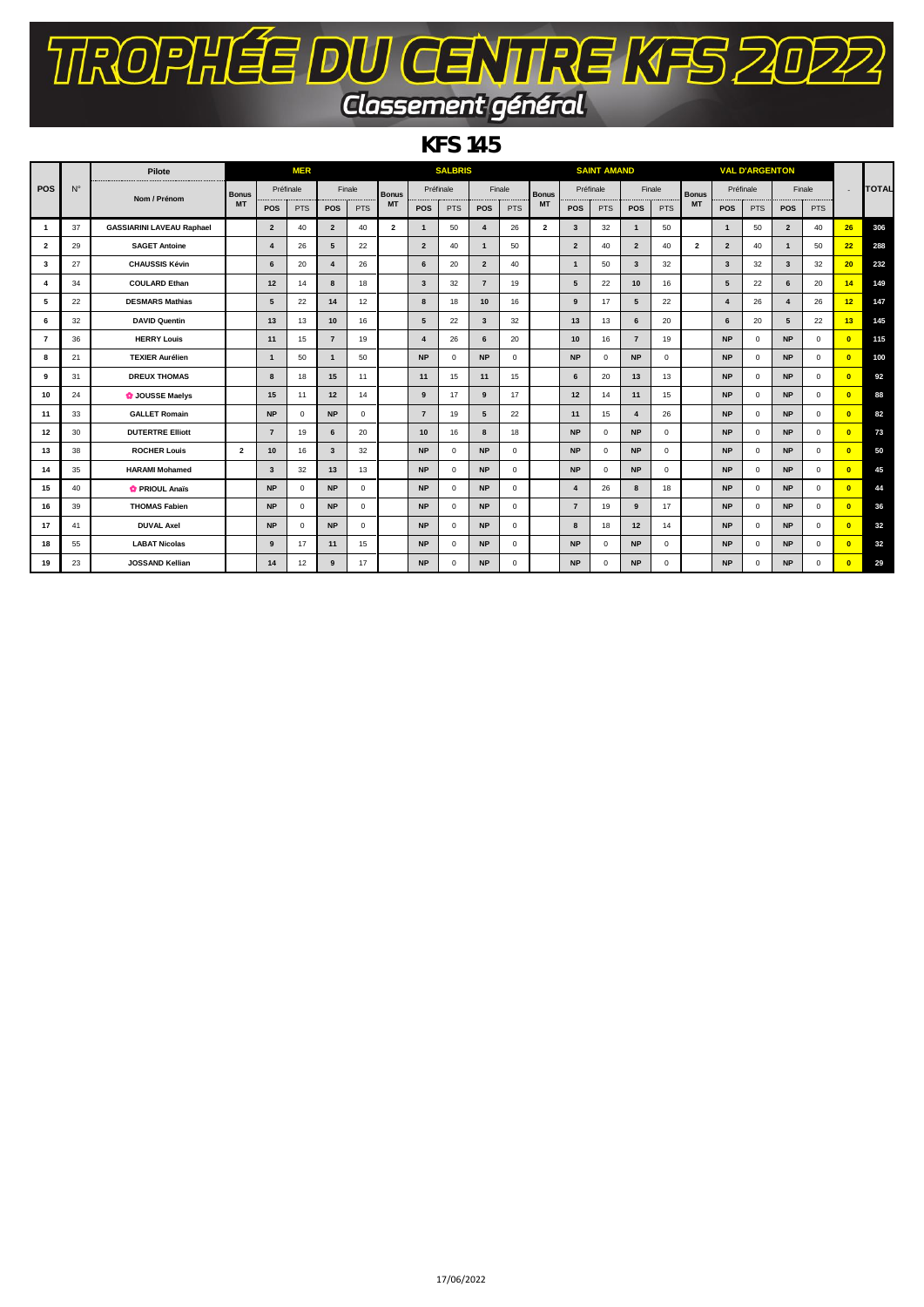## TROPHÉE DU CENTRE KFS 2022 Classement général

*KFS 145*

|                         |             | Pilote                           |                |                         | <b>MER</b>  |                         |              |                         |                         | <b>SALBRIS</b> |                |              |                |                         | <b>SAINT AMAND</b> |                |              |                         |                         | <b>VAL D'ARGENTON</b> |                         |              |                 |              |
|-------------------------|-------------|----------------------------------|----------------|-------------------------|-------------|-------------------------|--------------|-------------------------|-------------------------|----------------|----------------|--------------|----------------|-------------------------|--------------------|----------------|--------------|-------------------------|-------------------------|-----------------------|-------------------------|--------------|-----------------|--------------|
| POS                     | $N^{\circ}$ | Nom / Prénom                     | <b>Bonus</b>   | Préfinale               |             | Finale                  |              | <b>Bonus</b>            | Préfinale               |                | Finale         |              | <b>Bonus</b>   | Préfinale               |                    | Finale         |              | <b>Bonus</b>            | Préfinale               |                       |                         | Finale       |                 | <b>TOTAL</b> |
|                         |             |                                  | <b>MT</b>      | <b>POS</b>              | <b>PTS</b>  | <b>POS</b>              | <b>PTS</b>   | <b>MT</b>               | POS                     | PTS            | POS            | <b>PTS</b>   | <b>MT</b>      | <b>POS</b>              | <b>PTS</b>         | <b>POS</b>     | <b>PTS</b>   | <b>MT</b>               | POS                     | <b>PTS</b>            | POS                     | <b>PTS</b>   |                 |              |
|                         | 37          | <b>GASSIARINI LAVEAU Raphael</b> |                | $\overline{2}$          | 40          | $\overline{2}$          | 40           | $\overline{\mathbf{2}}$ | $\mathbf{1}$            | 50             | $\overline{4}$ | 26           | $\overline{2}$ | $\overline{\mathbf{3}}$ | 32                 | $\mathbf{1}$   | 50           |                         | $\mathbf{1}$            | 50                    | $\overline{2}$          | 40           | 26              | 306          |
| $\overline{\mathbf{2}}$ | 29          | <b>SAGET Antoine</b>             |                | $\overline{\mathbf{4}}$ | 26          | 5                       | 22           |                         | $\overline{2}$          | 40             | $\mathbf{1}$   | 50           |                | $\overline{2}$          | 40                 | $\overline{2}$ | 40           | $\overline{\mathbf{2}}$ | $\overline{2}$          | 40                    | $\mathbf{1}$            | 50           | 22              | 288          |
| 3                       | 27          | <b>CHAUSSIS Kévin</b>            |                | 6                       | 20          | 4                       | 26           |                         | 6                       | 20             | $\overline{2}$ | 40           |                | $\mathbf{1}$            | 50                 | 3              | 32           |                         | $\overline{\mathbf{3}}$ | 32                    | $\overline{\mathbf{3}}$ | 32           | 20              | 232          |
|                         | 34          | <b>COULARD Ethan</b>             |                | 12                      | 14          | 8                       | 18           |                         | $\overline{\mathbf{3}}$ | 32             | $\overline{7}$ | 19           |                | 5                       | 22                 | 10             | 16           |                         | 5                       | 22                    | 6                       | 20           | 14              | 149          |
| 5                       | 22          | <b>DESMARS Mathias</b>           |                | 5                       | 22          | 14                      | 12           |                         | 8                       | 18             | 10             | 16           |                | 9                       | 17                 | 5              | 22           |                         | $\overline{4}$          | 26                    | $\overline{a}$          | 26           | 12 <sup>2</sup> | 147          |
| 6                       | 32          | <b>DAVID Quentin</b>             |                | 13                      | 13          | 10                      | 16           |                         | $5^{\circ}$             | 22             | $\mathbf{3}$   | 32           |                | 13                      | 13                 | 6              | 20           |                         | 6                       | 20                    | 5                       | 22           | 13              | 145          |
|                         | 36          | <b>HERRY Louis</b>               |                | 11                      | 15          | $\overline{7}$          | 19           |                         | $\overline{4}$          | 26             | 6              | 20           |                | 10                      | 16                 | $\overline{7}$ | 19           |                         | <b>NP</b>               | $\mathbf 0$           | <b>NP</b>               | $\mathbf 0$  | $\overline{0}$  | 115          |
| 8                       | 21          | <b>TEXIER Aurélien</b>           |                | $\mathbf{1}$            | 50          | $\mathbf{1}$            | 50           |                         | <b>NP</b>               | $^{\circ}$     | <b>NP</b>      | $\mathbf 0$  |                | <b>NP</b>               | $\mathbf 0$        | <b>NP</b>      | $\mathbf{0}$ |                         | <b>NP</b>               | $\mathbf 0$           | <b>NP</b>               | $\mathbf 0$  | $\overline{0}$  | 100          |
| 9                       | 31          | <b>DREUX THOMAS</b>              |                | 8                       | 18          | 15                      | 11           |                         | 11                      | 15             | 11             | 15           |                | 6                       | 20                 | 13             | 13           |                         | <b>NP</b>               | $\mathbf 0$           | <b>NP</b>               | $\mathbf 0$  | $\overline{0}$  | 92           |
| 10                      | 24          | <b>O</b> JOUSSE Maelys           |                | 15                      | 11          | 12                      | 14           |                         | 9                       | 17             | 9              | 17           |                | 12                      | 14                 | 11             | 15           |                         | <b>NP</b>               | $\mathbf 0$           | <b>NP</b>               | $\mathbf 0$  | $\overline{0}$  | 88           |
| 11                      | 33          | <b>GALLET Romain</b>             |                | <b>NP</b>               | $\mathbf 0$ | <b>NP</b>               | $\mathbf{0}$ |                         | $\overline{7}$          | 19             | 5              | 22           |                | 11                      | 15                 | $\overline{4}$ | 26           |                         | <b>NP</b>               | $\mathbf 0$           | <b>NP</b>               | $\mathbf 0$  | $\overline{0}$  | 82           |
| 12                      | 30          | <b>DUTERTRE Elliott</b>          |                | $\overline{7}$          | 19          | 6                       | 20           |                         | 10                      | 16             | 8              | 18           |                | <b>NP</b>               | $^{\circ}$         | <b>NP</b>      | $^{\circ}$   |                         | <b>NP</b>               | $\mathbf{0}$          | <b>NP</b>               | $^{\circ}$   | $\overline{0}$  | 73           |
| 13                      | 38          | <b>ROCHER Louis</b>              | $\overline{2}$ | 10                      | 16          | $\overline{\mathbf{3}}$ | 32           |                         | <b>NP</b>               | $^{\circ}$     | <b>NP</b>      | $\mathbf 0$  |                | <b>NP</b>               | $^{\circ}$         | <b>NP</b>      | $\mathbf{0}$ |                         | <b>NP</b>               | $\mathbf 0$           | <b>NP</b>               | $\mathbf 0$  | $\overline{0}$  | 50           |
| 14                      | 35          | <b>HARAMI Mohamed</b>            |                | 3                       | 32          | 13                      | 13           |                         | <b>NP</b>               | $\Omega$       | <b>NP</b>      | $\Omega$     |                | <b>NP</b>               | $\Omega$           | <b>NP</b>      | $\Omega$     |                         | <b>NP</b>               | $\mathbf 0$           | <b>NP</b>               | $\Omega$     | $\overline{0}$  | 45           |
| 15                      | 40          | <b>C</b> PRIOUL Anaïs            |                | <b>NP</b>               | $\Omega$    | <b>NP</b>               | $\Omega$     |                         | <b>NP</b>               | $\Omega$       | <b>NP</b>      | $\mathbf{0}$ |                | 4                       | 26                 | 8              | 18           |                         | <b>NP</b>               | $\mathbf{0}$          | <b>NP</b>               | $\mathbf{0}$ | $\overline{0}$  | 44           |
| 16                      | 39          | <b>THOMAS Fabien</b>             |                | <b>NP</b>               | $\mathbf 0$ | <b>NP</b>               | $\mathbf{0}$ |                         | <b>NP</b>               | 0              | <b>NP</b>      | $\mathbf 0$  |                | $\overline{7}$          | 19                 | 9              | 17           |                         | <b>NP</b>               | $\mathbf{0}$          | <b>NP</b>               | $^{\circ}$   | $\overline{0}$  | 36           |
| 17                      | 41          | <b>DUVAL Axel</b>                |                | <b>NP</b>               | $\mathbf 0$ | <b>NP</b>               | $\mathbf{0}$ |                         | <b>NP</b>               | $\Omega$       | <b>NP</b>      | $\mathbf 0$  |                | 8                       | 18                 | 12             | 14           |                         | <b>NP</b>               | $\mathbf 0$           | <b>NP</b>               | $\mathbf 0$  | $\overline{0}$  | 32           |
| 18                      | 55          | <b>LABAT Nicolas</b>             |                | 9                       | 17          | 11                      | 15           |                         | <b>NP</b>               | $\Omega$       | <b>NP</b>      | $\mathbf 0$  |                | <b>NP</b>               | $\Omega$           | <b>NP</b>      | $\mathbf{0}$ |                         | <b>NP</b>               | $\mathbf{0}$          | <b>NP</b>               | $^{\circ}$   | $\overline{0}$  | 32           |
| 19                      | 23          | <b>JOSSAND Kellian</b>           |                | 14                      | 12          | 9                       | 17           |                         | <b>NP</b>               | $\Omega$       | <b>NP</b>      | $\mathbf 0$  |                | <b>NP</b>               | $^{\circ}$         | <b>NP</b>      | $\mathbf{0}$ |                         | <b>NP</b>               | $\mathbf 0$           | <b>NP</b>               | $^{\circ}$   | $\overline{0}$  | 29           |